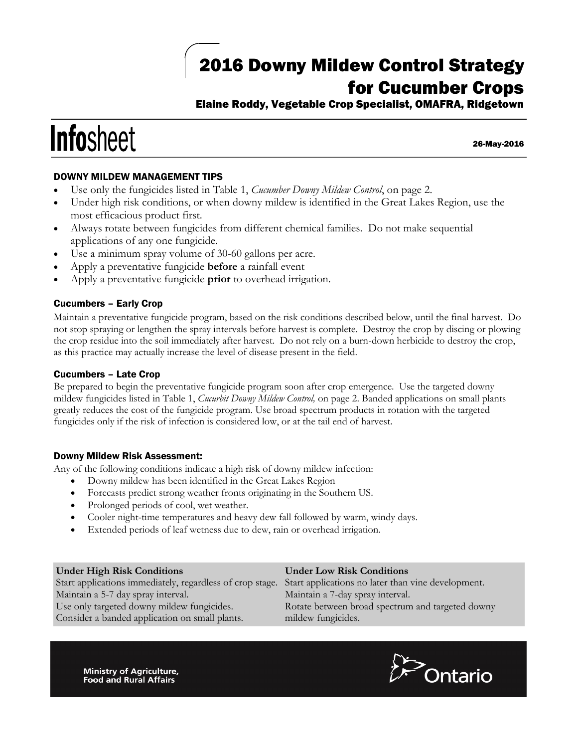## 2016 Downy Mildew Control Strategy for Cucumber Crops

Elaine Roddy, Vegetable Crop Specialist, OMAFRA, Ridgetown

# **Infosheet**

26-May-2016

### DOWNY MILDEW MANAGEMENT TIPS

- Use only the fungicides listed in Table 1, *Cucumber Downy Mildew Control*, on page 2.
- Under high risk conditions, or when downy mildew is identified in the Great Lakes Region, use the most efficacious product first.
- Always rotate between fungicides from different chemical families. Do not make sequential applications of any one fungicide.
- Use a minimum spray volume of 30-60 gallons per acre.
- Apply a preventative fungicide **before** a rainfall event
- Apply a preventative fungicide **prior** to overhead irrigation.

#### Cucumbers – Early Crop

Maintain a preventative fungicide program, based on the risk conditions described below, until the final harvest. Do not stop spraying or lengthen the spray intervals before harvest is complete. Destroy the crop by discing or plowing the crop residue into the soil immediately after harvest. Do not rely on a burn-down herbicide to destroy the crop, as this practice may actually increase the level of disease present in the field.

#### Cucumbers – Late Crop

Be prepared to begin the preventative fungicide program soon after crop emergence. Use the targeted downy mildew fungicides listed in Table 1, *Cucurbit Downy Mildew Control,* on page 2. Banded applications on small plants greatly reduces the cost of the fungicide program. Use broad spectrum products in rotation with the targeted fungicides only if the risk of infection is considered low, or at the tail end of harvest.

#### Downy Mildew Risk Assessment:

Any of the following conditions indicate a high risk of downy mildew infection:

- Downy mildew has been identified in the Great Lakes Region
- Forecasts predict strong weather fronts originating in the Southern US.
- Prolonged periods of cool, wet weather.
- Cooler night-time temperatures and heavy dew fall followed by warm, windy days.
- Extended periods of leaf wetness due to dew, rain or overhead irrigation.

#### **Under High Risk Conditions** Start applications immediately, regardless of crop stage. Start applications no later than vine development. Maintain a 5-7 day spray interval. Use only targeted downy mildew fungicides. Consider a banded application on small plants. **Under Low Risk Conditions** Maintain a 7-day spray interval. Rotate between broad spectrum and targeted downy mildew fungicides.

Ministry of Agriculture, **Food and Rural Affairs**